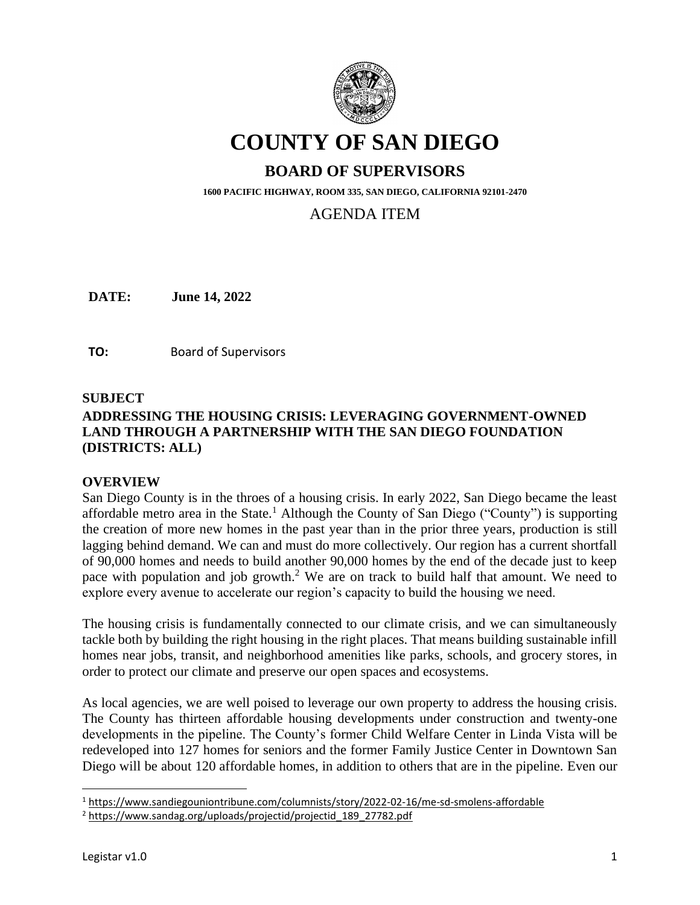

# **COUNTY OF SAN DIEGO**

# **BOARD OF SUPERVISORS**

**1600 PACIFIC HIGHWAY, ROOM 335, SAN DIEGO, CALIFORNIA 92101-2470**

# AGENDA ITEM

**DATE:** June 14, 2022

**TO:** Board of Supervisors

#### **SUBJECT**

# **ADDRESSING THE HOUSING CRISIS: LEVERAGING GOVERNMENT-OWNED LAND THROUGH A PARTNERSHIP WITH THE SAN DIEGO FOUNDATION (DISTRICTS: ALL)**

#### **OVERVIEW**

San Diego County is in the throes of a housing crisis. In early 2022, San Diego became the least affordable metro area in the State.<sup>1</sup> Although the County of San Diego ("County") is supporting the creation of more new homes in the past year than in the prior three years, production is still lagging behind demand. We can and must do more collectively. Our region has a current shortfall of 90,000 homes and needs to build another 90,000 homes by the end of the decade just to keep pace with population and job growth.<sup>2</sup> We are on track to build half that amount. We need to explore every avenue to accelerate our region's capacity to build the housing we need.

The housing crisis is fundamentally connected to our climate crisis, and we can simultaneously tackle both by building the right housing in the right places. That means building sustainable infill homes near jobs, transit, and neighborhood amenities like parks, schools, and grocery stores, in order to protect our climate and preserve our open spaces and ecosystems.

As local agencies, we are well poised to leverage our own property to address the housing crisis. The County has thirteen affordable housing developments under construction and twenty-one developments in the pipeline. The County's former Child Welfare Center in Linda Vista will be redeveloped into 127 homes for seniors and the former Family Justice Center in Downtown San Diego will be about 120 affordable homes, in addition to others that are in the pipeline. Even our

<sup>1</sup> <https://www.sandiegouniontribune.com/columnists/story/2022-02-16/me-sd-smolens-affordable>

<sup>2</sup> [https://www.sandag.org/uploads/projectid/projectid\\_189\\_27782.pdf](https://www.sandag.org/uploads/projectid/projectid_189_27782.pdf)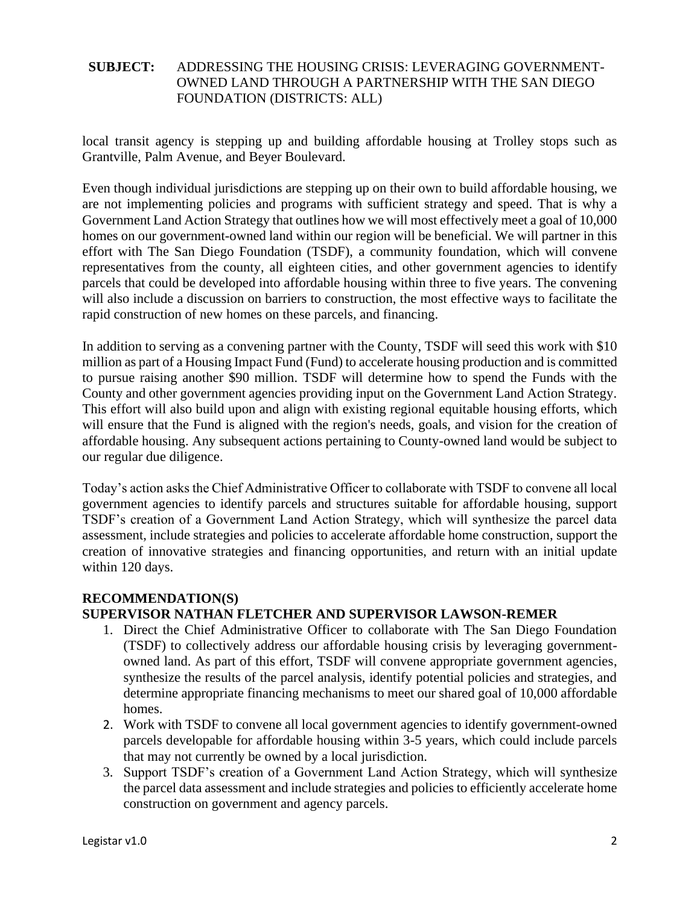local transit agency is stepping up and building affordable housing at Trolley stops such as Grantville, Palm Avenue, and Beyer Boulevard.

Even though individual jurisdictions are stepping up on their own to build affordable housing, we are not implementing policies and programs with sufficient strategy and speed. That is why a Government Land Action Strategy that outlines how we will most effectively meet a goal of 10,000 homes on our government-owned land within our region will be beneficial. We will partner in this effort with The San Diego Foundation (TSDF), a community foundation, which will convene representatives from the county, all eighteen cities, and other government agencies to identify parcels that could be developed into affordable housing within three to five years. The convening will also include a discussion on barriers to construction, the most effective ways to facilitate the rapid construction of new homes on these parcels, and financing.

In addition to serving as a convening partner with the County, TSDF will seed this work with \$10 million as part of a Housing Impact Fund (Fund) to accelerate housing production and is committed to pursue raising another \$90 million. TSDF will determine how to spend the Funds with the County and other government agencies providing input on the Government Land Action Strategy. This effort will also build upon and align with existing regional equitable housing efforts, which will ensure that the Fund is aligned with the region's needs, goals, and vision for the creation of affordable housing. Any subsequent actions pertaining to County-owned land would be subject to our regular due diligence.

Today's action asks the Chief Administrative Officer to collaborate with TSDF to convene all local government agencies to identify parcels and structures suitable for affordable housing, support TSDF's creation of a Government Land Action Strategy, which will synthesize the parcel data assessment, include strategies and policies to accelerate affordable home construction, support the creation of innovative strategies and financing opportunities, and return with an initial update within 120 days.

#### **RECOMMENDATION(S)**

# **SUPERVISOR NATHAN FLETCHER AND SUPERVISOR LAWSON-REMER**

- 1. Direct the Chief Administrative Officer to collaborate with The San Diego Foundation (TSDF) to collectively address our affordable housing crisis by leveraging governmentowned land. As part of this effort, TSDF will convene appropriate government agencies, synthesize the results of the parcel analysis, identify potential policies and strategies, and determine appropriate financing mechanisms to meet our shared goal of 10,000 affordable homes.
- 2. Work with TSDF to convene all local government agencies to identify government-owned parcels developable for affordable housing within 3-5 years, which could include parcels that may not currently be owned by a local jurisdiction.
- 3. Support TSDF's creation of a Government Land Action Strategy, which will synthesize the parcel data assessment and include strategies and policies to efficiently accelerate home construction on government and agency parcels.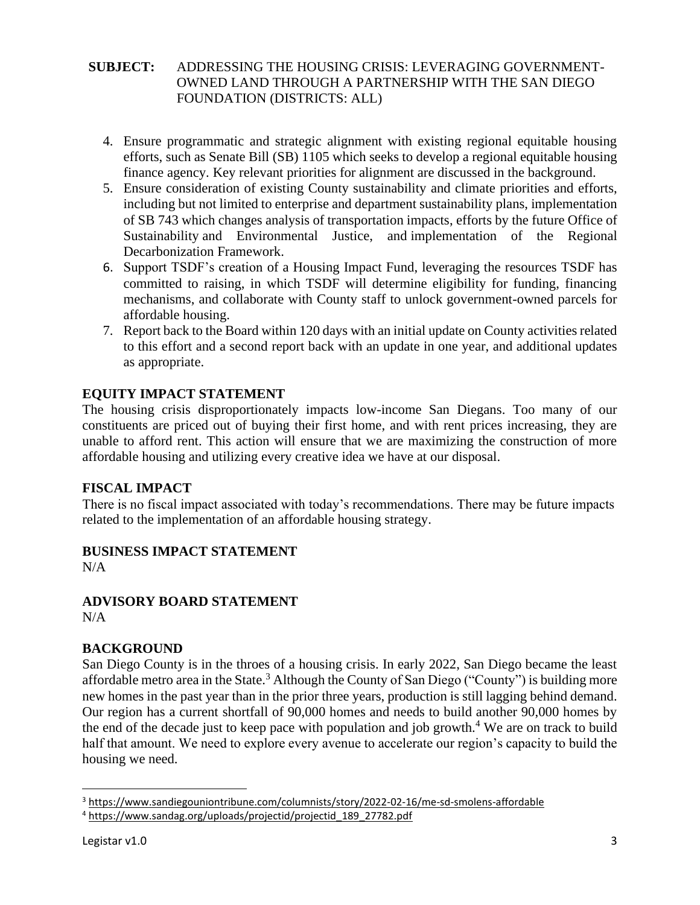- 4. Ensure programmatic and strategic alignment with existing regional equitable housing efforts, such as Senate Bill (SB) 1105 which seeks to develop a regional equitable housing finance agency. Key relevant priorities for alignment are discussed in the background.
- 5. Ensure consideration of existing County sustainability and climate priorities and efforts, including but not limited to enterprise and department sustainability plans, implementation of SB 743 which changes analysis of transportation impacts, efforts by the future Office of Sustainability and Environmental Justice, and implementation of the Regional Decarbonization Framework.
- 6. Support TSDF's creation of a Housing Impact Fund, leveraging the resources TSDF has committed to raising, in which TSDF will determine eligibility for funding, financing mechanisms, and collaborate with County staff to unlock government-owned parcels for affordable housing.
- 7. Report back to the Board within 120 days with an initial update on County activities related to this effort and a second report back with an update in one year, and additional updates as appropriate.

# **EQUITY IMPACT STATEMENT**

The housing crisis disproportionately impacts low-income San Diegans. Too many of our constituents are priced out of buying their first home, and with rent prices increasing, they are unable to afford rent. This action will ensure that we are maximizing the construction of more affordable housing and utilizing every creative idea we have at our disposal.

# **FISCAL IMPACT**

There is no fiscal impact associated with today's recommendations. There may be future impacts related to the implementation of an affordable housing strategy.

# **BUSINESS IMPACT STATEMENT**

N/A

#### **ADVISORY BOARD STATEMENT** N/A

# **BACKGROUND**

San Diego County is in the throes of a housing crisis. In early 2022, San Diego became the least affordable metro area in the State.<sup>3</sup> Although the County of San Diego ("County") is building more new homes in the past year than in the prior three years, production is still lagging behind demand. Our region has a current shortfall of 90,000 homes and needs to build another 90,000 homes by the end of the decade just to keep pace with population and job growth.<sup>4</sup> We are on track to build half that amount. We need to explore every avenue to accelerate our region's capacity to build the housing we need.

<sup>3</sup> <https://www.sandiegouniontribune.com/columnists/story/2022-02-16/me-sd-smolens-affordable>

<sup>4</sup> [https://www.sandag.org/uploads/projectid/projectid\\_189\\_27782.pdf](https://www.sandag.org/uploads/projectid/projectid_189_27782.pdf)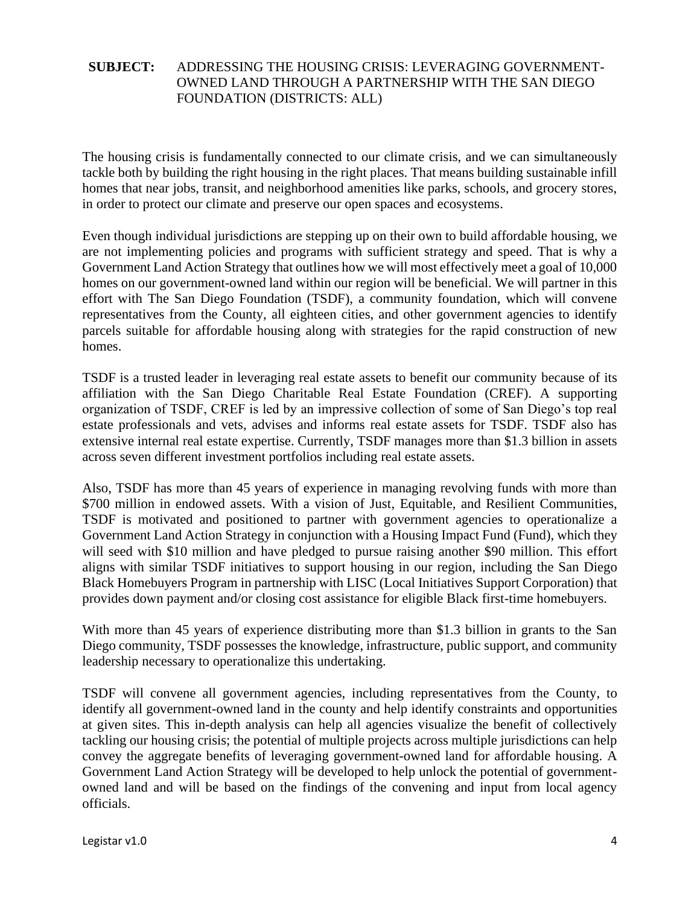The housing crisis is fundamentally connected to our climate crisis, and we can simultaneously tackle both by building the right housing in the right places. That means building sustainable infill homes that near jobs, transit, and neighborhood amenities like parks, schools, and grocery stores, in order to protect our climate and preserve our open spaces and ecosystems.

Even though individual jurisdictions are stepping up on their own to build affordable housing, we are not implementing policies and programs with sufficient strategy and speed. That is why a Government Land Action Strategy that outlines how we will most effectively meet a goal of 10,000 homes on our government-owned land within our region will be beneficial. We will partner in this effort with The San Diego Foundation (TSDF), a community foundation, which will convene representatives from the County, all eighteen cities, and other government agencies to identify parcels suitable for affordable housing along with strategies for the rapid construction of new homes.

TSDF is a trusted leader in leveraging real estate assets to benefit our community because of its affiliation with the San Diego Charitable Real Estate Foundation (CREF). A supporting organization of TSDF, CREF is led by an impressive collection of some of San Diego's top real estate professionals and vets, advises and informs real estate assets for TSDF. TSDF also has extensive internal real estate expertise. Currently, TSDF manages more than \$1.3 billion in assets across seven different investment portfolios including real estate assets.

Also, TSDF has more than 45 years of experience in managing revolving funds with more than \$700 million in endowed assets. With a vision of Just, Equitable, and Resilient Communities, TSDF is motivated and positioned to partner with government agencies to operationalize a Government Land Action Strategy in conjunction with a Housing Impact Fund (Fund), which they will seed with \$10 million and have pledged to pursue raising another \$90 million. This effort aligns with similar TSDF initiatives to support housing in our region, including the San Diego Black Homebuyers Program in partnership with LISC (Local Initiatives Support Corporation) that provides down payment and/or closing cost assistance for eligible Black first-time homebuyers.

With more than 45 years of experience distributing more than \$1.3 billion in grants to the San Diego community, TSDF possesses the knowledge, infrastructure, public support, and community leadership necessary to operationalize this undertaking.

TSDF will convene all government agencies, including representatives from the County, to identify all government-owned land in the county and help identify constraints and opportunities at given sites. This in-depth analysis can help all agencies visualize the benefit of collectively tackling our housing crisis; the potential of multiple projects across multiple jurisdictions can help convey the aggregate benefits of leveraging government-owned land for affordable housing. A Government Land Action Strategy will be developed to help unlock the potential of governmentowned land and will be based on the findings of the convening and input from local agency officials.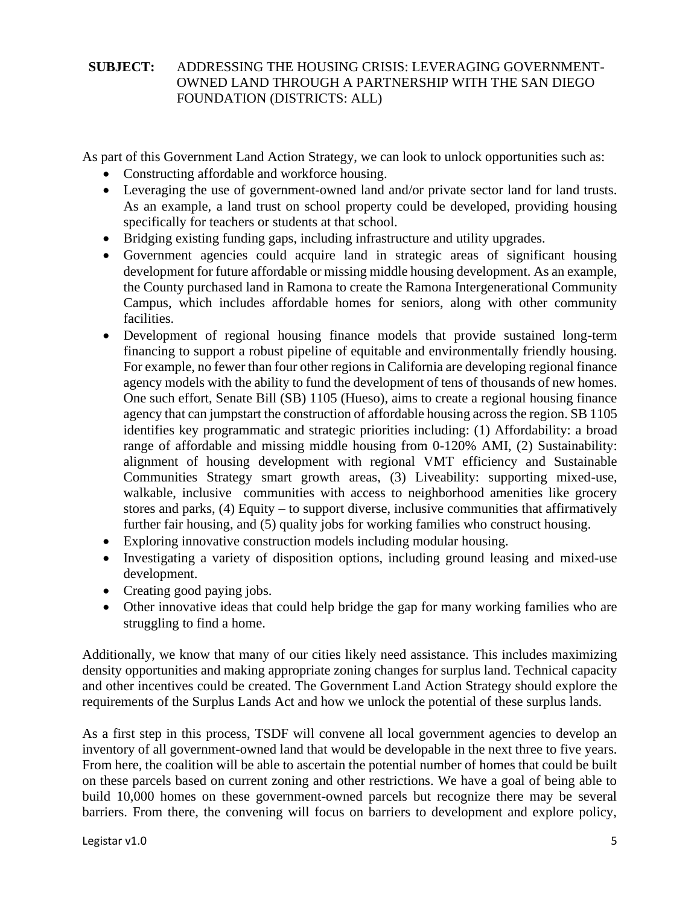As part of this Government Land Action Strategy, we can look to unlock opportunities such as:

- Constructing affordable and workforce housing.
- Leveraging the use of government-owned land and/or private sector land for land trusts. As an example, a land trust on school property could be developed, providing housing specifically for teachers or students at that school.
- Bridging existing funding gaps, including infrastructure and utility upgrades.
- Government agencies could acquire land in strategic areas of significant housing development for future affordable or missing middle housing development. As an example, the County purchased land in Ramona to create the Ramona Intergenerational Community Campus, which includes affordable homes for seniors, along with other community facilities.
- Development of regional housing finance models that provide sustained long-term financing to support a robust pipeline of equitable and environmentally friendly housing. For example, no fewer than four other regions in California are developing regional finance agency models with the ability to fund the development of tens of thousands of new homes. One such effort, Senate Bill (SB) 1105 (Hueso), aims to create a regional housing finance agency that can jumpstart the construction of affordable housing across the region. SB 1105 identifies key programmatic and strategic priorities including: (1) Affordability: a broad range of affordable and missing middle housing from 0-120% AMI, (2) Sustainability: alignment of housing development with regional VMT efficiency and Sustainable Communities Strategy smart growth areas, (3) Liveability: supporting mixed-use, walkable, inclusive communities with access to neighborhood amenities like grocery stores and parks, (4) Equity – to support diverse, inclusive communities that affirmatively further fair housing, and (5) quality jobs for working families who construct housing.
- Exploring innovative construction models including modular housing.
- Investigating a variety of disposition options, including ground leasing and mixed-use development.
- Creating good paying jobs.
- Other innovative ideas that could help bridge the gap for many working families who are struggling to find a home.

Additionally, we know that many of our cities likely need assistance. This includes maximizing density opportunities and making appropriate zoning changes for surplus land. Technical capacity and other incentives could be created. The Government Land Action Strategy should explore the requirements of the Surplus Lands Act and how we unlock the potential of these surplus lands.

As a first step in this process, TSDF will convene all local government agencies to develop an inventory of all government-owned land that would be developable in the next three to five years. From here, the coalition will be able to ascertain the potential number of homes that could be built on these parcels based on current zoning and other restrictions. We have a goal of being able to build 10,000 homes on these government-owned parcels but recognize there may be several barriers. From there, the convening will focus on barriers to development and explore policy,